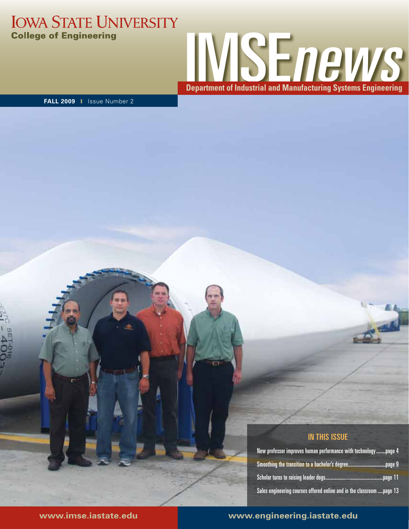### **IOWA STATE UNIVERSITY College of Engineering**



**FALL 2009** ❙ Issue Number 2

#### In this issue

| New professor improves human performance with technologypage 4         |  |
|------------------------------------------------------------------------|--|
|                                                                        |  |
|                                                                        |  |
| Sales engineering courses offered online and in the classroom  page 13 |  |

### **www.imse.iastate.edu www.engineering.iastate.edu**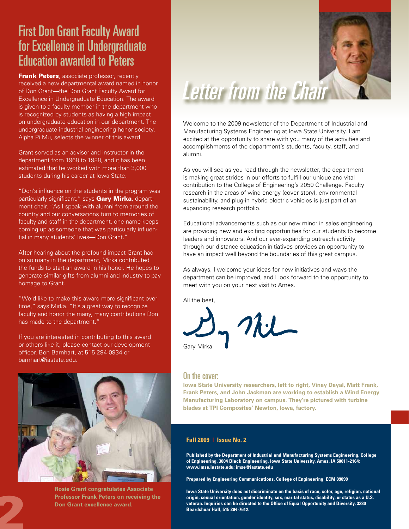## First Don Grant Faculty Award for Excellence in Undergraduate Education awarded to Peters

**Frank Peters**, associate professor, recently received a new departmental award named in honor of Don Grant—the Don Grant Faculty Award for Excellence in Undergraduate Education. The award is given to a faculty member in the department who is recognized by students as having a high impact on undergraduate education in our department. The undergraduate industrial engineering honor society, Alpha Pi Mu, selects the winner of this award.

Grant served as an adviser and instructor in the department from 1968 to 1988, and it has been estimated that he worked with more than 3,000 students during his career at Iowa State.

"Don's influence on the students in the program was particularly significant," says Gary Mirka, department chair. "As I speak with alumni from around the country and our conversations turn to memories of faculty and staff in the department, one name keeps coming up as someone that was particularly influential in many students' lives—Don Grant."

After hearing about the profound impact Grant had on so many in the department, Mirka contributed the funds to start an award in his honor. He hopes to generate similar gifts from alumni and industry to pay homage to Grant.

"We'd like to make this award more significant over time," says Mirka. "It's a great way to recognize faculty and honor the many, many contributions Don has made to the department."

If you are interested in contributing to this award or others like it, please contact our development officer, Ben Barnhart, at 515 294-0934 or barnhart@iastate.edu.



**Rosie Grant congratulates Associate Professor Frank Peters on receiving the Professor Frank Peters on reconcerned award.**<br> **Don Grant excellence award.**<br> **2004** 



## Letter from the Chair

Welcome to the 2009 newsletter of the Department of Industrial and Manufacturing Systems Engineering at Iowa State University. I am excited at the opportunity to share with you many of the activities and accomplishments of the department's students, faculty, staff, and alumni.

As you will see as you read through the newsletter, the department is making great strides in our efforts to fulfill our unique and vital contribution to the College of Engineering's 2050 Challenge. Faculty research in the areas of wind energy (cover story), environmental sustainability, and plug-in hybrid electric vehicles is just part of an expanding research portfolio.

Educational advancements such as our new minor in sales engineering are providing new and exciting opportunities for our students to become leaders and innovators. And our ever-expanding outreach activity through our distance education initiatives provides an opportunity to have an impact well beyond the boundaries of this great campus.

As always, I welcome your ideas for new initiatives and ways the department can be improved, and I look forward to the opportunity to meet with you on your next visit to Ames.

All the best,

Gary Mirka

#### On the cover:

**Iowa State University researchers, left to right, Vinay Dayal, Matt Frank, Frank Peters, and John Jackman are working to establish a Wind Energy Manufacturing Laboratory on campus. They're pictured with turbine blades at TPI Composites' Newton, Iowa, factory.**

#### **Fall 2009 | Issue No. 2**

**Published by the Department of Industrial and Manufacturing Systems Engineering, College of Engineering, 3004 Black Engineering, Iowa State University, Ames, IA 50011-2164; www.imse.iastate.edu; imse@iastate.edu**

**Prepared by Engineering Communications, College of Engineering ECM 09099**

**Iowa State University does not discriminate on the basis of race, color, age, religion, national origin, sexual orientation, gender identity, sex, marital status, disability, or status as a U.S. veteran. Inquiries can be directed to the Office of Equal Opportunity and Diversity, 3280 Beardshear Hall, 515 294-7612.**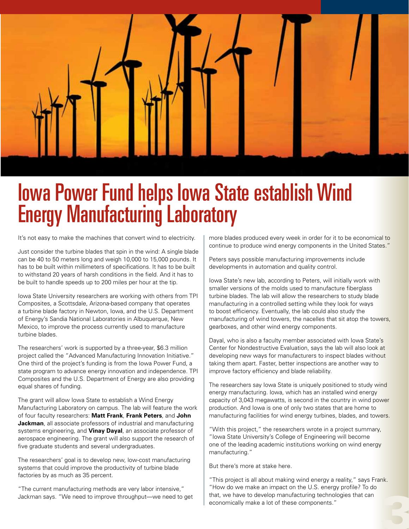

## Iowa Power Fund helps Iowa State establish Wind Energy Manufacturing Laboratory

It's not easy to make the machines that convert wind to electricity.

Just consider the turbine blades that spin in the wind: A single blade can be 40 to 50 meters long and weigh 10,000 to 15,000 pounds. It has to be built within millimeters of specifications. It has to be built to withstand 20 years of harsh conditions in the field. And it has to be built to handle speeds up to 200 miles per hour at the tip.

Iowa State University researchers are working with others from TPI Composites, a Scottsdale, Arizona-based company that operates a turbine blade factory in Newton, Iowa, and the U.S. Department of Energy's Sandia National Laboratories in Albuquerque, New Mexico, to improve the process currently used to manufacture turbine blades.

The researchers' work is supported by a three-year, \$6.3 million project called the "Advanced Manufacturing Innovation Initiative." One third of the project's funding is from the Iowa Power Fund, a state program to advance energy innovation and independence. TPI Composites and the U.S. Department of Energy are also providing equal shares of funding.

The grant will allow Iowa State to establish a Wind Energy Manufacturing Laboratory on campus. The lab will feature the work of four faculty researchers: **Matt Frank**, **Frank Peters**, and **John Jackman**, all associate professors of industrial and manufacturing systems engineering, and **Vinay Dayal**, an associate professor of aerospace engineering. The grant will also support the research of five graduate students and several undergraduates.

The researchers' goal is to develop new, low-cost manufacturing systems that could improve the productivity of turbine blade factories by as much as 35 percent.

"The current manufacturing methods are very labor intensive," Jackman says. "We need to improve throughput—we need to get more blades produced every week in order for it to be economical to continue to produce wind energy components in the United States."

Peters says possible manufacturing improvements include developments in automation and quality control.

Iowa State's new lab, according to Peters, will initially work with smaller versions of the molds used to manufacture fiberglass turbine blades. The lab will allow the researchers to study blade manufacturing in a controlled setting while they look for ways to boost efficiency. Eventually, the lab could also study the manufacturing of wind towers, the nacelles that sit atop the towers, gearboxes, and other wind energy components.

Dayal, who is also a faculty member associated with Iowa State's Center for Nondestructive Evaluation, says the lab will also look at developing new ways for manufacturers to inspect blades without taking them apart. Faster, better inspections are another way to improve factory efficiency and blade reliability.

The researchers say Iowa State is uniquely positioned to study wind energy manufacturing. Iowa, which has an installed wind energy capacity of 3,043 megawatts, is second in the country in wind power production. And Iowa is one of only two states that are home to manufacturing facilities for wind energy turbines, blades, and towers.

"With this project," the researchers wrote in a project summary, "Iowa State University's College of Engineering will become one of the leading academic institutions working on wind energy manufacturing."

But there's more at stake here.

"This project is all about making wind energy a reality," says Frank. "How do we make an impact on the U.S. energy profile? To do that, we have to develop manufacturing technologies that can How do we make an impact on the U.S. energy profile? To do<br>that, we have to develop manufacturing technologies that can<br>economically make a lot of these components."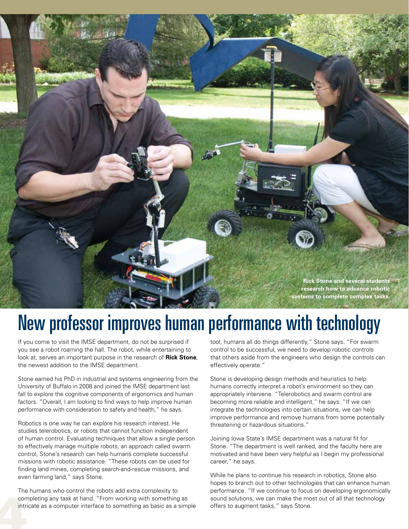**Rick Stone and several students research how to advance robotic systems to complete complex tasks.** 

## New professor improves human performance with technology

If you come to visit the IMSE department, do not be surprised if you see a robot roaming the hall. The robot, while entertaining to look at, serves an important purpose in the research of **Rick Stone**, the newest addition to the IMSE department.

Stone earned his PhD in industrial and systems engineering from the University of Buffalo in 2008 and joined the IMSE department last fall to explore the cognitive components of ergonomics and human factors. "Overall, I am looking to find ways to help improve human performance with consideration to safety and health," he says.

Robotics is one way he can explore his research interest. He studies telerobotics, or robots that cannot function independent of human control. Evaluating techniques that allow a single person to effectively manage multiple robots, an approach called swarm control, Stone's research can help humans complete successful missions with robotic assistance. "These robots can be used for finding land mines, completing search-and-rescue missions, and even farming land," says Stone.

The<br>com<br>intri The humans who control the robots add extra complexity to completing any task at hand. "From working with something as intricate as a computer interface to something as basic as a simple

tool, humans all do things differently," Stone says. "For swarm control to be successful, we need to develop robotic controls that others aside from the engineers who design the controls can effectively operate."

Stone is developing design methods and heuristics to help humans correctly interpret a robot's environment so they can appropriately intervene. "Telerobotics and swarm control are becoming more reliable and intelligent," he says. "If we can integrate the technologies into certain situations, we can help improve performance and remove humans from some potentially threatening or hazardous situations."

Joining Iowa State's IMSE department was a natural fit for Stone. "The department is well ranked, and the faculty here are motivated and have been very helpful as I begin my professional career," he says.

While he plans to continue his research in robotics, Stone also hopes to branch out to other technologies that can enhance human performance. "If we continue to focus on developing ergonomically sound solutions, we can make the most out of all that technology offers to augment tasks," says Stone.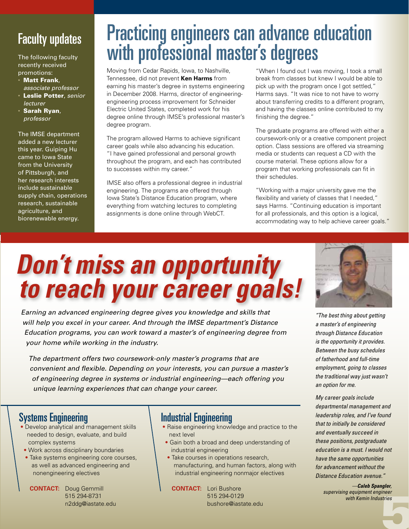## Faculty updates

The following faculty recently received promotions:

- Matt Frank, *associate professor*
- Leslie Potter, *senior lecturer*
- Sarah Ryan, *professor*

The IMSE department added a new lecturer this year. Guiping Hu came to Iowa State from the University of Pittsburgh, and her research interests include sustainable supply chain, operations research, sustainable agriculture, and biorenewable energy.

## Practicing engineers can advance education with professional master's degrees

Moving from Cedar Rapids, Iowa, to Nashville, Tennessee, did not prevent **Ken Harms** from earning his master's degree in systems engineering in December 2008. Harms, director of engineeringengineering process improvement for Schneider Electric United States, completed work for his degree online through IMSE's professional master's degree program.

The program allowed Harms to achieve significant career goals while also advancing his education. "I have gained professional and personal growth throughout the program, and each has contributed to successes within my career."

IMSE also offers a professional degree in industrial engineering. The programs are offered through Iowa State's Distance Education program, where everything from watching lectures to completing assignments is done online through WebCT.

"When I found out I was moving, I took a small break from classes but knew I would be able to pick up with the program once I got settled," Harms says. "It was nice to not have to worry about transferring credits to a different program, and having the classes online contributed to my finishing the degree."

The graduate programs are offered with either a coursework-only or a creative component project option. Class sessions are offered via streaming media or students can request a CD with the course material. These options allow for a program that working professionals can fit in their schedules.

"Working with a major university gave me the flexibility and variety of classes that I needed," says Harms. "Continuing education is important for all professionals, and this option is a logical, accommodating way to help achieve career goals."

# *Don't miss an opportunity to reach your career goals!*

*Earning an advanced engineering degree gives you knowledge and skills that will help you excel in your career. And through the IMSE department's Distance Education programs, you can work toward a master's of engineering degree from your home while working in the industry.*

*The department offers two coursework-only master's programs that are convenient and flexible. Depending on your interests, you can pursue a master's of engineering degree in systems or industrial engineering—each offering you unique learning experiences that can change your career.* 

### Systems Engineering

- Develop analytical and management skills needed to design, evaluate, and build complex systems
- Work across disciplinary boundaries
- Take systems engineering core courses, as well as advanced engineering and nonengineering electives

**CONTACT:** Doug Gemmill 515 294-8731 n2ddg@iastate.edu

### Industrial Engineering

- Raise engineering knowledge and practice to the next level
- Gain both a broad and deep understanding of industrial engineering
- Take courses in operations research, manufacturing, and human factors, along with industrial engineering nonmajor electives

**CONTACT:** Lori Bushore 515 294-0129 bushore@iastate.edu



*"The best thing about getting a master's of engineering through Distance Education is the opportunity it provides. Between the busy schedules of fatherhood and full-time employment, going to classes the traditional way just wasn't an option for me.* 

*My career goals include departmental management and leadership roles, and I've found that to initially be considered and eventually succeed in these positions, postgraduate education is a must. I would not have the same opportunities for advancement without the Distance Education avenue."*

5 *—Caleb Spangler, supervising equipment engineer with Kemin Industries*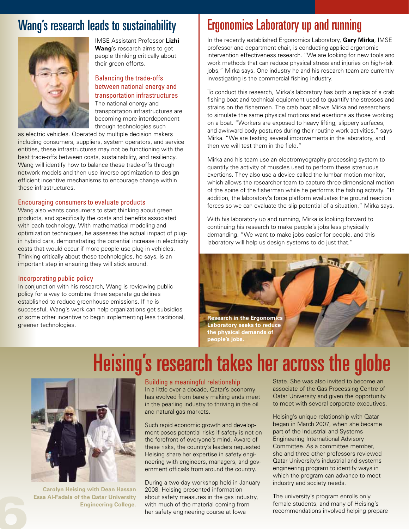### Wang's research leads to sustainability



IMSE Assistant Professor **Lizhi Wang**'s research aims to get people thinking critically about their green efforts.

#### Balancing the trade-offs between national energy and transportation infrastructures

The national energy and transportation infrastructures are becoming more interdependent through technologies such

as electric vehicles. Operated by multiple decision makers including consumers, suppliers, system operators, and service entities, these infrastructures may not be functioning with the best trade-offs between costs, sustainability, and resiliency. Wang will identify how to balance these trade-offs through network models and then use inverse optimization to design efficient incentive mechanisms to encourage change within these infrastructures.

#### Encouraging consumers to evaluate products

Wang also wants consumers to start thinking about green products, and specifically the costs and benefits associated with each technology. With mathematical modeling and optimization techniques, he assesses the actual impact of plugin hybrid cars, demonstrating the potential increase in electricity costs that would occur if more people use plug-in vehicles. Thinking critically about these technologies, he says, is an important step in ensuring they will stick around.

#### Incorporating public policy

In conjunction with his research, Wang is reviewing public policy for a way to combine three separate guidelines established to reduce greenhouse emissions. If he is successful, Wang's work can help organizations get subsidies or some other incentive to begin implementing less traditional, greener technologies.

## Ergonomics Laboratory up and running

In the recently established Ergonomics Laboratory, **Gary Mirka**, IMSE professor and department chair, is conducting applied ergonomic intervention effectiveness research. "We are looking for new tools and work methods that can reduce physical stress and injuries on high-risk jobs," Mirka says. One industry he and his research team are currently investigating is the commercial fishing industry.

To conduct this research, Mirka's laboratory has both a replica of a crab fishing boat and technical equipment used to quantify the stresses and strains on the fishermen. The crab boat allows Mirka and researchers to simulate the same physical motions and exertions as those working on a boat. "Workers are exposed to heavy lifting, slippery surfaces, and awkward body postures during their routine work activities," says Mirka. "We are testing several improvements in the laboratory, and then we will test them in the field."

Mirka and his team use an electromyography processing system to quantify the activity of muscles used to perform these strenuous exertions. They also use a device called the lumbar motion monitor, which allows the researcher team to capture three-dimensional motion of the spine of the fisherman while he performs the fishing activity. "In addition, the laboratory's force platform evaluates the ground reaction forces so we can evaluate the slip potential of a situation," Mirka says.

With his laboratory up and running, Mirka is looking forward to continuing his research to make people's jobs less physically demanding. "We want to make jobs easier for people, and this laboratory will help us design systems to do just that."



## Heising's research takes her across the globe



**Carolyn Heising with Dean Hassan Essa Al-Fadala of the Qatar University Example 19 Carolyn Heising with Dean Hassan<br>Essa Al-Fadala of the Qatar University<br>Engineering College.**<br>**Example 2** 

#### Building a meaningful relationship

In a little over a decade, Qatar's economy has evolved from barely making ends meet in the pearling industry to thriving in the oil and natural gas markets.

Such rapid economic growth and development poses potential risks if safety is not on the forefront of everyone's mind. Aware of these risks, the country's leaders requested Heising share her expertise in safety engineering with engineers, managers, and government officials from around the country.

During a two-day workshop held in January 2008, Heising presented information about safety measures in the gas industry, with much of the material coming from her safety engineering course at Iowa

State. She was also invited to become an associate of the Gas Processing Centre of Qatar University and given the opportunity to meet with several corporate executives.

Heising's unique relationship with Qatar began in March 2007, when she became part of the Industrial and Systems Engineering International Advisory Committee. As a committee member, she and three other professors reviewed Qatar University's industrial and systems engineering program to identify ways in which the program can advance to meet industry and society needs.

The university's program enrolls only female students, and many of Heising's recommendations involved helping prepare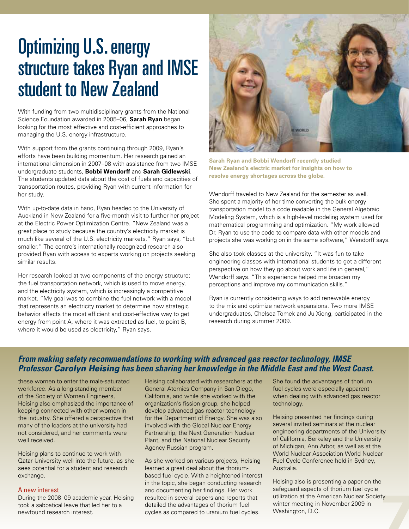## Optimizing U.S. energy structure takes Ryan and IMSE student to New Zealand

With funding from two multidisciplinary grants from the National Science Foundation awarded in 2005–06, **Sarah Ryan** began looking for the most effective and cost-efficient approaches to managing the U.S. energy infrastructure.

With support from the grants continuing through 2009, Ryan's efforts have been building momentum. Her research gained an international dimension in 2007–08 with assistance from two IMSE undergraduate students, **Bobbi Wendorff** and **Sarah Gidlewski**. The students updated data about the cost of fuels and capacities of transportation routes, providing Ryan with current information for her study.

With up-to-date data in hand, Ryan headed to the University of Auckland in New Zealand for a five-month visit to further her project at the Electric Power Optimization Centre. "New Zealand was a great place to study because the country's electricity market is much like several of the U.S. electricity markets," Ryan says, "but smaller." The centre's internationally recognized research also provided Ryan with access to experts working on projects seeking similar results.

Her research looked at two components of the energy structure: the fuel transportation network, which is used to move energy, and the electricity system, which is increasingly a competitive market. "My goal was to combine the fuel network with a model that represents an electricity market to determine how strategic behavior affects the most efficient and cost-effective way to get energy from point A, where it was extracted as fuel, to point B, where it would be used as electricity," Ryan says.



**Sarah Ryan and Bobbi Wendorff recently studied New Zealand's electric market for insights on how to resolve energy shortages across the globe.**

Wendorff traveled to New Zealand for the semester as well. She spent a majority of her time converting the bulk energy transportation model to a code readable in the General Algebraic Modeling System, which is a high-level modeling system used for mathematical programming and optimization. "My work allowed Dr. Ryan to use the code to compare data with other models and projects she was working on in the same software," Wendorff says.

She also took classes at the university. "It was fun to take engineering classes with international students to get a different perspective on how they go about work and life in general," Wendorff says. "This experience helped me broaden my perceptions and improve my communication skills."

Ryan is currently considering ways to add renewable energy to the mix and optimize network expansions. Two more IMSE undergraduates, Chelsea Tomek and Ju Xiong, participated in the research during summer 2009.

### *From making safety recommendations to working with advanced gas reactor technology, IMSE Professor Carolyn Heising has been sharing her knowledge in the Middle East and the West Coast.*

these women to enter the male-saturated workforce. As a long-standing member of the Society of Women Engineers, Heising also emphasized the importance of keeping connected with other women in the industry. She offered a perspective that many of the leaders at the university had not considered, and her comments were well received.

Heising plans to continue to work with Qatar University well into the future, as she sees potential for a student and research exchange.

#### A new interest

During the 2008–09 academic year, Heising took a sabbatical leave that led her to a newfound research interest.

Heising collaborated with researchers at the General Atomics Company in San Diego, California, and while she worked with the organization's fission group, she helped develop advanced gas reactor technology for the Department of Energy. She was also involved with the Global Nuclear Energy Partnership, the Next Generation Nuclear Plant, and the National Nuclear Security Agency Russian program.

As she worked on various projects, Heising learned a great deal about the thoriumbased fuel cycle. With a heightened interest in the topic, she began conducting research and documenting her findings. Her work resulted in several papers and reports that detailed the advantages of thorium fuel cycles as compared to uranium fuel cycles.

She found the advantages of thorium fuel cycles were especially apparent when dealing with advanced gas reactor technology.

Heising presented her findings during several invited seminars at the nuclear engineering departments of the University of California, Berkeley and the University of Michigan, Ann Arbor, as well as at the World Nuclear Association World Nuclear Fuel Cycle Conference held in Sydney, Australia.

ty Heising also is presenting a paper on the safeguard aspects of thorium fuel cycle utilization at the American Nuclear Society winter meeting in November 2009 in Washington, D.C.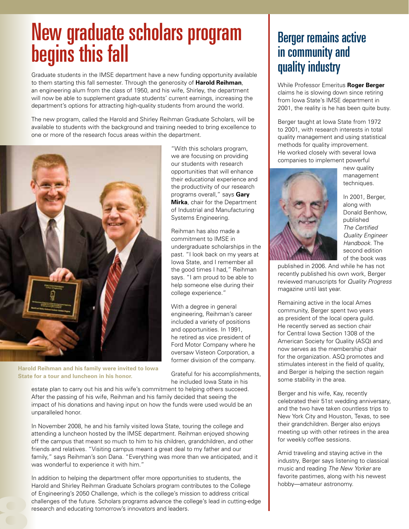## New graduate scholars program begins this fall

Graduate students in the IMSE department have a new funding opportunity available to them starting this fall semester. Through the generosity of **Harold Reihman**, an engineering alum from the class of 1950, and his wife, Shirley, the department will now be able to supplement graduate students' current earnings, increasing the department's options for attracting high-quality students from around the world.

The new program, called the Harold and Shirley Reihman Graduate Scholars, will be available to students with the background and training needed to bring excellence to one or more of the research focus areas within the department.



**Harold Reihman and his family were invited to Iowa State for a tour and luncheon in his honor.**

8

"With this scholars program, we are focusing on providing our students with research opportunities that will enhance their educational experience and the productivity of our research programs overall," says **Gary Mirka**, chair for the Department of Industrial and Manufacturing Systems Engineering.

Reihman has also made a commitment to IMSE in undergraduate scholarships in the past. "I look back on my years at Iowa State, and I remember all the good times I had," Reihman says. "I am proud to be able to help someone else during their college experience."

With a degree in general engineering, Reihman's career included a variety of positions and opportunities. In 1991, he retired as vice president of Ford Motor Company where he oversaw Visteon Corporation, a former division of the company.

Grateful for his accomplishments, he included Iowa State in his

estate plan to carry out his and his wife's commitment to helping others succeed. After the passing of his wife, Reihman and his family decided that seeing the impact of his donations and having input on how the funds were used would be an unparalleled honor.

In November 2008, he and his family visited Iowa State, touring the college and attending a luncheon hosted by the IMSE department. Reihman enjoyed showing off the campus that meant so much to him to his children, grandchildren, and other friends and relatives. "Visiting campus meant a great deal to my father and our family," says Reihman's son Dana. "Everything was more than we anticipated, and it was wonderful to experience it with him."

In addition to helping the department offer more opportunities to students, the Harold and Shirley Reihman Graduate Scholars program contributes to the College of Engineering's 2050 Challenge, which is the college's mission to address critical challenges of the future. Scholars programs advance the college's lead in cutting-edge research and educating tomorrow's innovators and leaders.

## Berger remains active in community and quality industry

While Professor Emeritus **Roger Berger** claims he is slowing down since retiring from Iowa State's IMSE department in 2001, the reality is he has been quite busy.

Berger taught at Iowa State from 1972 to 2001, with research interests in total quality management and using statistical methods for quality improvement. He worked closely with several Iowa companies to implement powerful



new quality management techniques.

In 2001, Berger, along with Donald Benhow, published *The Certified Quality Engineer Handbook*. The second edition of the book was

published in 2006. And while he has not recently published his own work, Berger reviewed manuscripts for *Quality Progress* magazine until last year.

Remaining active in the local Ames community, Berger spent two years as president of the local opera guild. He recently served as section chair for Central Iowa Section 1308 of the American Society for Quality (ASQ) and now serves as the membership chair for the organization. ASQ promotes and stimulates interest in the field of quality, and Berger is helping the section regain some stability in the area.

Berger and his wife, Kay, recently celebrated their 51st wedding anniversary, and the two have taken countless trips to New York City and Houston, Texas, to see their grandchildren. Berger also enjoys meeting up with other retirees in the area for weekly coffee sessions.

Amid traveling and staying active in the industry, Berger says listening to classical music and reading *The New Yorker* are favorite pastimes, along with his newest hobby—amateur astronomy.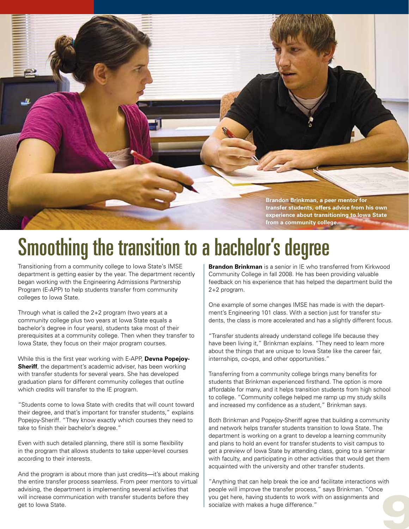

# Smoothing the transition to a bachelor's degree

Transitioning from a community college to Iowa State's IMSE department is getting easier by the year. The department recently began working with the Engineering Admissions Partnership Program (E-APP) to help students transfer from community colleges to Iowa State.

Through what is called the 2+2 program (two years at a community college plus two years at Iowa State equals a bachelor's degree in four years), students take most of their prerequisites at a community college. Then when they transfer to Iowa State, they focus on their major program courses.

While this is the first year working with E-APP, **Devna Popejoy-Sheriff**, the department's academic adviser, has been working with transfer students for several years. She has developed graduation plans for different community colleges that outline which credits will transfer to the IE program.

"Students come to Iowa State with credits that will count toward their degree, and that's important for transfer students," explains Popejoy-Sheriff. "They know exactly which courses they need to take to finish their bachelor's degree."

Even with such detailed planning, there still is some flexibility in the program that allows students to take upper-level courses according to their interests.

And the program is about more than just credits—it's about making the entire transfer process seamless. From peer mentors to virtual advising, the department is implementing several activities that will increase communication with transfer students before they get to Iowa State.

**Brandon Brinkman** is a senior in IE who transferred from Kirkwood Community College in fall 2008. He has been providing valuable feedback on his experience that has helped the department build the 2+2 program.

One example of some changes IMSE has made is with the department's Engineering 101 class. With a section just for transfer students, the class is more accelerated and has a slightly different focus.

"Transfer students already understand college life because they have been living it," Brinkman explains. "They need to learn more about the things that are unique to Iowa State like the career fair, internships, co-ops, and other opportunities."

Transferring from a community college brings many benefits for students that Brinkman experienced firsthand. The option is more affordable for many, and it helps transition students from high school to college. "Community college helped me ramp up my study skills and increased my confidence as a student," Brinkman says.

Both Brinkman and Popejoy-Sheriff agree that building a community and network helps transfer students transition to Iowa State. The department is working on a grant to develop a learning community and plans to hold an event for transfer students to visit campus to get a preview of Iowa State by attending class, going to a seminar with faculty, and participating in other activities that would get them acquainted with the university and other transfer students.

"Anything that can help break the ice and facilitate interactions with people will improve the transfer process," says Brinkman. "Once you get here, having students to work with on assignments and socialize with makes a huge difference." 9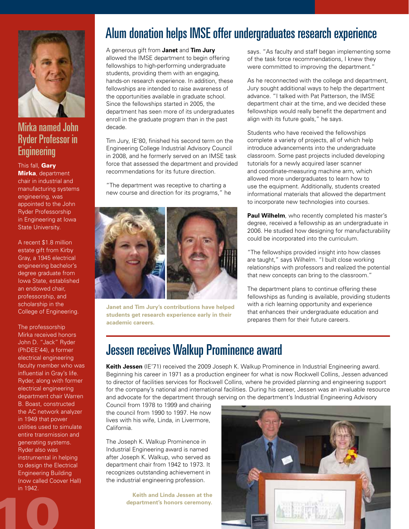

### Mirka named John Ryder Professor in **Engineering**

#### This fall, Gary

**Mirka**, department chair in industrial and manufacturing systems engineering, was appointed to the John Ryder Professorship in Engineering at Iowa State University.

A recent \$1.8 million estate gift from Kirby Gray, a 1945 electrical engineering bachelor's degree graduate from Iowa State, established an endowed chair, professorship, and scholarship in the College of Engineering.

The professorship Mirka received honors John D. "Jack" Ryder (PhDEE'44), a former electrical engineering faculty member who was influential in Gray's life. Ryder, along with former electrical engineering department chair Warren B. Boast, constructed the AC network analyzer in 1949 that power utilities used to simulate entire transmission and generating systems. Ryder also was instrumental in helping to design the Electrical Engineering Building (now called Coover Hall) in 1942.

## Alum donation helps IMSE offer undergraduates research experience

A generous gift from **Janet** and **Tim Jury** allowed the IMSE department to begin offering fellowships to high-performing undergraduate students, providing them with an engaging, hands-on research experience. In addition, these fellowships are intended to raise awareness of the opportunities available in graduate school. Since the fellowships started in 2005, the department has seen more of its undergraduates enroll in the graduate program than in the past decade.

Tim Jury, IE'80, finished his second term on the Engineering College Industrial Advisory Council in 2008, and he formerly served on an IMSE task force that assessed the department and provided recommendations for its future direction.

"The department was receptive to charting a new course and direction for its programs," he



**Janet and Tim Jury's contributions have helped students get research experience early in their academic careers.**

says. "As faculty and staff began implementing some of the task force recommendations, I knew they were committed to improving the department."

As he reconnected with the college and department, Jury sought additional ways to help the department advance. "I talked with Pat Patterson, the IMSE department chair at the time, and we decided these fellowships would really benefit the department and align with its future goals," he says.

Students who have received the fellowships complete a variety of projects, all of which help introduce advancements into the undergraduate classroom. Some past projects included developing tutorials for a newly acquired laser scanner and coordinate-measuring machine arm, which allowed more undergraduates to learn how to use the equipment. Additionally, students created informational materials that allowed the department to incorporate new technologies into courses.

**Paul Wilhelm**, who recently completed his master's degree, received a fellowship as an undergraduate in 2006. He studied how designing for manufacturability could be incorporated into the curriculum.

"The fellowships provided insight into how classes are taught," says Wilhelm. "I built close working relationships with professors and realized the potential that new concepts can bring to the classroom."

The department plans to continue offering these fellowships as funding is available, providing students with a rich learning opportunity and experience that enhances their undergraduate education and prepares them for their future careers.

### Jessen receives Walkup Prominence award

**Keith Jessen** (IE'71) received the 2009 Joseph K. Walkup Prominence in Industrial Engineering award. Beginning his career in 1971 as a production engineer for what is now Rockwell Collins, Jessen advanced to director of facilities services for Rockwell Collins, where he provided planning and engineering support for the company's national and international facilities. During his career, Jessen was an invaluable resource and advocate for the department through serving on the department's Industrial Engineering Advisory

Council from 1978 to 1999 and chairing the council from 1990 to 1997. He now lives with his wife, Linda, in Livermore, California.

The Joseph K. Walkup Prominence in Industrial Engineering award is named after Joseph K. Walkup, who served as department chair from 1942 to 1973. It recognizes outstanding achievement in the industrial engineering profession.

**Keith and Linda Jessen at the department's honors ceremony.**<br> **department's honors ceremony.**<br> **department's honors ceremony.** 

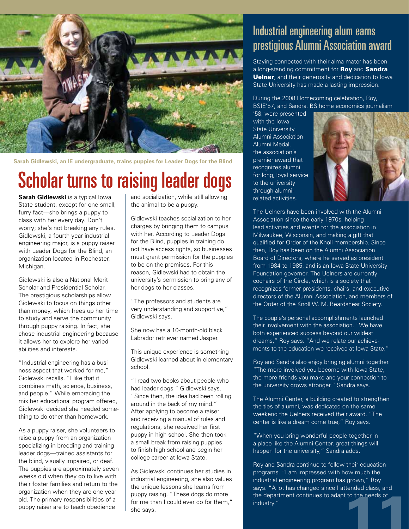

**Sarah Gidlewski, an IE undergraduate, trains puppies for Leader Dogs for the Blind**

## Scholar turns to raising leader dogs

**Sarah Gidlewski** is a typical lowa State student, except for one small, furry fact—she brings a puppy to class with her every day. Don't worry; she's not breaking any rules. Gidlewski, a fourth-year industrial engineering major, is a puppy raiser with Leader Dogs for the Blind, an organization located in Rochester, Michigan.

Gidlewski is also a National Merit Scholar and Presidential Scholar. The prestigious scholarships allow Gidlewski to focus on things other than money, which frees up her time to study and serve the community through puppy raising. In fact, she chose industrial engineering because it allows her to explore her varied abilities and interests.

"Industrial engineering has a business aspect that worked for me," Gidlewski recalls. "I like that it combines math, science, business, and people." While embracing the mix her educational program offered, Gidlewski decided she needed something to do other than homework.

As a puppy raiser, she volunteers to raise a puppy from an organization specializing in breeding and training leader dogs—trained assistants for the blind, visually impaired, or deaf. The puppies are approximately seven weeks old when they go to live with their foster families and return to the organization when they are one year old. The primary responsibilities of a puppy raiser are to teach obedience

and socialization, while still allowing the animal to be a puppy.

Gidlewski teaches socialization to her charges by bringing them to campus with her. According to Leader Dogs for the Blind, puppies in training do not have access rights, so businesses must grant permission for the puppies to be on the premises. For this reason, Gidlewski had to obtain the university's permission to bring any of her dogs to her classes.

"The professors and students are very understanding and supportive," Gidlewski says.

She now has a 10-month-old black Labrador retriever named Jasper.

This unique experience is something Gidlewski learned about in elementary school.

"I read two books about people who had leader dogs," Gidlewski says. "Since then, the idea had been rolling around in the back of my mind." After applying to become a raiser and receiving a manual of rules and regulations, she received her first puppy in high school. She then took a small break from raising puppies to finish high school and begin her college career at Iowa State.

As Gidlewski continues her studies in industrial engineering, she also values the unique lessons she learns from puppy raising. "These dogs do more for me than I could ever do for them," the unique lessons she learns from<br>puppy raising. "These dogs do more<br>for me than I could ever do for them,"<br>she says.<br>she says.<br>expected by the department continues to adapt to the needs of<br>industry."

### Industrial engineering alum earns prestigious Alumni Association award

Staying connected with their alma mater has been a long-standing commitment for Roy and Sandra Uelner, and their generosity and dedication to lowa State University has made a lasting impression.

During the 2008 Homecoming celebration, Roy, BSIE'57, and Sandra, BS home economics journalism

'58, were presented with the Iowa State University Alumni Association Alumni Medal, the association's premier award that recognizes alumni for long, loyal service to the university through alumnirelated activities.



The Uelners have been involved with the Alumni Association since the early 1970s, helping lead activities and events for the association in Milwaukee, Wisconsin, and making a gift that qualified for Order of the Knoll membership. Since then, Roy has been on the Alumni Association Board of Directors, where he served as president from 1984 to 1985, and is an Iowa State University Foundation governor. The Uelners are currently cochairs of the Circle, which is a society that recognizes former presidents, chairs, and executive directors of the Alumni Association, and members of the Order of the Knoll W. M. Beardshear Society.

The couple's personal accomplishments launched their involvement with the association. "We have both experienced success beyond our wildest dreams," Roy says. "And we relate our achievements to the education we received at Iowa State."

Roy and Sandra also enjoy bringing alumni together. "The more involved you become with Iowa State, the more friends you make and your connection to the university grows stronger," Sandra says.

The Alumni Center, a building created to strengthen the ties of alumni, was dedicated on the same weekend the Uelners received their award. "The center is like a dream come true," Roy says.

"When you bring wonderful people together in a place like the Alumni Center, great things will happen for the university," Sandra adds.

Roy and Sandra continue to follow their education programs. "I am impressed with how much the industrial engineering program has grown," Roy says. "A lot has changed since I attended class, and the department continues to adapt to the needs of industry."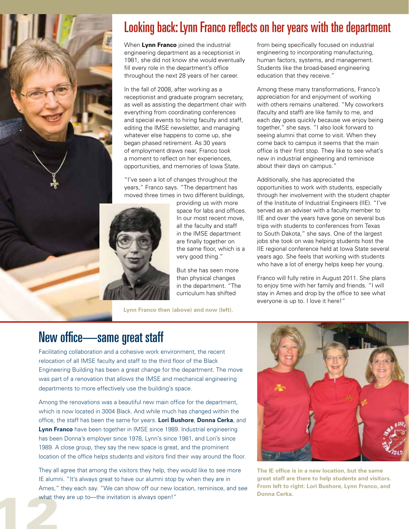

## Looking back: Lynn Franco reflects on her years with the department

When **Lynn Franco** joined the industrial engineering department as a receptionist in 1981, she did not know she would eventually fill every role in the department's office throughout the next 28 years of her career.

In the fall of 2008, after working as a receptionist and graduate program secretary, as well as assisting the department chair with everything from coordinating conferences and special events to hiring faculty and staff, editing the IMSE newsletter, and managing whatever else happens to come up, she began phased retirement. As 30 years of employment draws near, Franco took a moment to reflect on her experiences, opportunities, and memories of Iowa State.

"I've seen a lot of changes throughout the years," Franco says. "The department has moved three times in two different buildings,



providing us with more space for labs and offices. In our most recent move, all the faculty and staff in the IMSE department are finally together on the same floor, which is a very good thing."

But she has seen more than physical changes in the department. "The curriculum has shifted

**Lynn Franco then (above) and now (left).**

from being specifically focused on industrial engineering to incorporating manufacturing, human factors, systems, and management. Students like the broad-based engineering education that they receive."

Among these many transformations, Franco's appreciation for and enjoyment of working with others remains unaltered. "My coworkers (faculty and staff) are like family to me, and each day goes quickly because we enjoy being together," she says. "I also look forward to seeing alumni that come to visit. When they come back to campus it seems that the main office is their first stop. They like to see what's new in industrial engineering and reminisce about their days on campus."

Additionally, she has appreciated the opportunities to work with students, especially through her involvement with the student chapter of the Institute of Industrial Engineers (IIE). "I've served as an adviser with a faculty member to IIE and over the years have gone on several bus trips with students to conferences from Texas to South Dakota," she says. One of the largest jobs she took on was helping students host the IIE regional conference held at Iowa State several years ago. She feels that working with students who have a lot of energy helps keep her young.

Franco will fully retire in August 2011. She plans to enjoy time with her family and friends. "I will stay in Ames and drop by the office to see what everyone is up to. I love it here!"

### New office—same great staff

Facilitating collaboration and a cohesive work environment, the recent relocation of all IMSE faculty and staff to the third floor of the Black Engineering Building has been a great change for the department. The move was part of a renovation that allows the IMSE and mechanical engineering departments to more effectively use the building's space.

Among the renovations was a beautiful new main office for the department, which is now located in 3004 Black. And while much has changed within the office, the staff has been the same for years. **Lori Bushore**, **Donna Cerka**, and **Lynn Franco** have been together in IMSE since 1989. Industrial engineering has been Donna's employer since 1978, Lynn's since 1981, and Lori's since 1989. A close group, they say the new space is great, and the prominent location of the office helps students and visitors find their way around the floor.

Arries,<br>what the They all agree that among the visitors they help, they would like to see more IE alumni. "It's always great to have our alumni stop by when they are in Ames," they each say. "We can show off our new location, reminisce, and see what they are up to—the invitation is always open!"



**The IE office is in a new location, but the same great staff are there to help students and visitors. From left to right: Lori Bushore, Lynn Franco, and Donna Cerka.**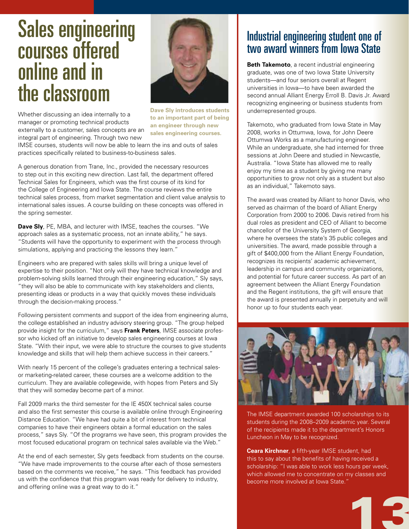## Sales engineering courses offered online and in the classroom



Whether discussing an idea internally to a manager or promoting technical products externally to a customer, sales concepts are an integral part of engineering. Through two new

**Dave Sly introduces students to an important part of being an engineer through new sales engineering courses.**

IMSE courses, students will now be able to learn the ins and outs of sales practices specifically related to business-to-business sales.

A generous donation from Trane, Inc., provided the necessary resources to step out in this exciting new direction. Last fall, the department offered Technical Sales for Engineers, which was the first course of its kind for the College of Engineering and Iowa State. The course reviews the entire technical sales process, from market segmentation and client value analysis to international sales issues. A course building on these concepts was offered in the spring semester.

**Dave Sly**, PE, MBA, and lecturer with IMSE, teaches the courses. "We approach sales as a systematic process, not an innate ability," he says. "Students will have the opportunity to experiment with the process through simulations, applying and practicing the lessons they learn."

Engineers who are prepared with sales skills will bring a unique level of expertise to their position. "Not only will they have technical knowledge and problem-solving skills learned through their engineering education," Sly says, "they will also be able to communicate with key stakeholders and clients, presenting ideas or products in a way that quickly moves these individuals through the decision-making process."

Following persistent comments and support of the idea from engineering alums, the college established an industry advisory steering group. "The group helped provide insight for the curriculum," says **Frank Peters**, IMSE associate professor who kicked off an initiative to develop sales engineering courses at Iowa State. "With their input, we were able to structure the courses to give students knowledge and skills that will help them achieve success in their careers."

With nearly 15 percent of the college's graduates entering a technical salesor marketing-related career, these courses are a welcome addition to the curriculum. They are available collegewide, with hopes from Peters and Sly that they will someday become part of a minor.

Fall 2009 marks the third semester for the IE 450X technical sales course and also the first semester this course is available online through Engineering Distance Education. "We have had quite a bit of interest from technical companies to have their engineers obtain a formal education on the sales process," says Sly. "Of the programs we have seen, this program provides the most focused educational program on technical sales available via the Web."

At the end of each semester, Sly gets feedback from students on the course. "We have made improvements to the course after each of those semesters based on the comments we receive," he says. "This feedback has provided us with the confidence that this program was ready for delivery to industry, and offering online was a great way to do it."

### Industrial engineering student one of two award winners from Iowa State

**Beth Takemoto**, a recent industrial engineering graduate, was one of two Iowa State University students—and four seniors overall at Regent universities in Iowa—to have been awarded the second annual Alliant Energy Erroll B. Davis Jr. Award recognizing engineering or business students from underrepresented groups.

Takemoto, who graduated from Iowa State in May 2008, works in Ottumwa, Iowa, for John Deere Ottumwa Works as a manufacturing engineer. While an undergraduate, she had interned for three sessions at John Deere and studied in Newcastle, Australia. "Iowa State has allowed me to really enjoy my time as a student by giving me many opportunities to grow not only as a student but also as an individual," Takemoto says.

The award was created by Alliant to honor Davis, who served as chairman of the board of Alliant Energy Corporation from 2000 to 2006. Davis retired from his dual roles as president and CEO of Alliant to become chancellor of the University System of Georgia, where he oversees the state's 35 public colleges and universities. The award, made possible through a gift of \$400,000 from the Alliant Energy Foundation, recognizes its recipients' academic achievement, leadership in campus and community organizations, and potential for future career success. As part of an agreement between the Alliant Energy Foundation and the Regent institutions, the gift will ensure that the award is presented annually in perpetuity and will honor up to four students each year.



The IMSE department awarded 100 scholarships to its students during the 2008–2009 academic year. Several of the recipients made it to the department's Honors Luncheon in May to be recognized.

**Ceara Kirchner**, a fifth-year IMSE student, had this to say about the benefits of having received a scholarship: "I was able to work less hours per week, which allowed me to concentrate on my classes and become more involved at Iowa State."

13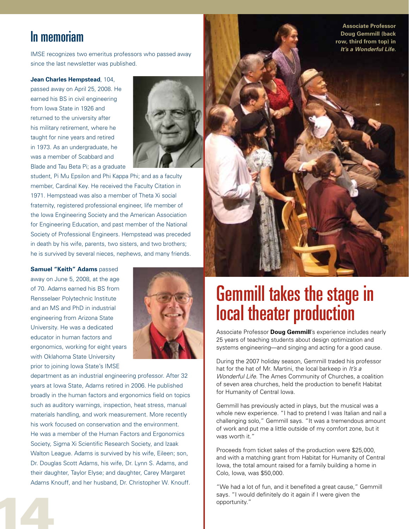### In memoriam

IMSE recognizes two emeritus professors who passed away since the last newsletter was published.

**Jean Charles Hempstead**, 104,

passed away on April 25, 2008. He earned his BS in civil engineering from Iowa State in 1926 and returned to the university after his military retirement, where he taught for nine years and retired in 1973. As an undergraduate, he was a member of Scabbard and Blade and Tau Beta Pi; as a graduate



student, Pi Mu Epsilon and Phi Kappa Phi; and as a faculty member, Cardinal Key. He received the Faculty Citation in 1971. Hempstead was also a member of Theta Xi social fraternity, registered professional engineer, life member of the Iowa Engineering Society and the American Association for Engineering Education, and past member of the National Society of Professional Engineers. Hempstead was preceded in death by his wife, parents, two sisters, and two brothers; he is survived by several nieces, nephews, and many friends.

**Samuel "Keith" Adams** passed away on June 5, 2008, at the age of 70. Adams earned his BS from Rensselaer Polytechnic Institute and an MS and PhD in industrial engineering from Arizona State University. He was a dedicated educator in human factors and ergonomics, working for eight years with Oklahoma State University prior to joining Iowa State's IMSE

14



department as an industrial engineering professor. After 32 years at Iowa State, Adams retired in 2006. He published broadly in the human factors and ergonomics field on topics such as auditory warnings, inspection, heat stress, manual materials handling, and work measurement. More recently his work focused on conservation and the environment. He was a member of the Human Factors and Ergonomics Society, Sigma Xi Scientific Research Society, and Izaak Walton League. Adams is survived by his wife, Eileen; son, Dr. Douglas Scott Adams, his wife, Dr. Lynn S. Adams, and their daughter, Taylor Elyse; and daughter, Carey Margaret Adams Knouff, and her husband, Dr. Christopher W. Knouff.



**Associate Professor** 

## Gemmill takes the stage in local theater production

Associate Professor **Doug Gemmill**'s experience includes nearly 25 years of teaching students about design optimization and systems engineering—and singing and acting for a good cause.

During the 2007 holiday season, Gemmill traded his professor hat for the hat of Mr. Martini, the local barkeep in *It's a Wonderful Life*. The Ames Community of Churches, a coalition of seven area churches, held the production to benefit Habitat for Humanity of Central Iowa.

Gemmill has previously acted in plays, but the musical was a whole new experience. "I had to pretend I was Italian and nail a challenging solo," Gemmill says. "It was a tremendous amount of work and put me a little outside of my comfort zone, but it was worth it."

Proceeds from ticket sales of the production were \$25,000, and with a matching grant from Habitat for Humanity of Central Iowa, the total amount raised for a family building a home in Colo, Iowa, was \$50,000.

"We had a lot of fun, and it benefited a great cause," Gemmill says. "I would definitely do it again if I were given the opportunity."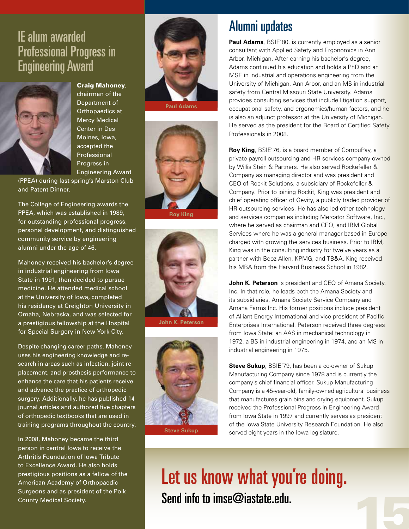## IE alum awarded Professional Progress in Engineering Award



#### Craig Mahoney,

chairman of the Department of Orthopaedics at Mercy Medical Center in Des Moines, Iowa, accepted the Professional Progress in Engineering Award

(PPEA) during last spring's Marston Club and Patent Dinner.

The College of Engineering awards the PPEA, which was established in 1989, for outstanding professional progress, personal development, and distinguished community service by engineering alumni under the age of 46.

Mahoney received his bachelor's degree in industrial engineering from lowa State in 1991, then decided to pursue medicine. He attended medical school at the University of Iowa, completed his residency at Creighton University in Omaha, Nebraska, and was selected for a prestigious fellowship at the Hospital for Special Surgery in New York City.

Despite changing career paths, Mahoney uses his engineering knowledge and research in areas such as infection, joint replacement, and prosthesis performance to enhance the care that his patients receive and advance the practice of orthopedic surgery. Additionally, he has published 14 journal articles and authored five chapters of orthopedic textbooks that are used in training programs throughout the country.

In 2008, Mahoney became the third person in central Iowa to receive the Arthritis Foundation of Iowa Tribute to Excellence Award. He also holds prestigious positions as a fellow of the American Academy of Orthopaedic Surgeons and as president of the Polk County Medical Society.



**Paul Adams**



**Roy King**



**John K. Peterson**



**Steve Sukup**

### Alumni updates

**Paul Adams**, BSIE'80, is currently employed as a senior consultant with Applied Safety and Ergonomics in Ann Arbor, Michigan. After earning his bachelor's degree, Adams continued his education and holds a PhD and an MSE in industrial and operations engineering from the University of Michigan, Ann Arbor, and an MS in industrial safety from Central Missouri State University. Adams provides consulting services that include litigation support, occupational safety, and ergonomics/human factors, and he is also an adjunct professor at the University of Michigan. He served as the president for the Board of Certified Safety Professionals in 2008.

**Roy King**, BSIE'76, is a board member of CompuPay, a private payroll outsourcing and HR services company owned by Willis Stein & Partners. He also served Rockefeller & Company as managing director and was president and CEO of Rockit Solutions, a subsidiary of Rockefeller & Company. Prior to joining Rockit, King was president and chief operating officer of Gevity, a publicly traded provider of HR outsourcing services. He has also led other technology and services companies including Mercator Software, Inc., where he served as chairman and CEO, and IBM Global Services where he was a general manager based in Europe charged with growing the services business. Prior to IBM, King was in the consulting industry for twelve years as a partner with Booz Allen, KPMG, and TB&A. King received his MBA from the Harvard Business School in 1982.

**John K. Peterson** is president and CEO of Amana Society, Inc. In that role, he leads both the Amana Society and its subsidiaries, Amana Society Service Company and Amana Farms Inc. His former positions include president of Alliant Energy International and vice president of Pacific Enterprises International. Peterson received three degrees from Iowa State: an AAS in mechanical technology in 1972, a BS in industrial engineering in 1974, and an MS in industrial engineering in 1975.

**Steve Sukup**, BSIE'79, has been a co-owner of Sukup Manufacturing Company since 1978 and is currently the company's chief financial officer. Sukup Manufacturing Company is a 45-year-old, family-owned agricultural business that manufactures grain bins and drying equipment. Sukup received the Professional Progress in Engineering Award from Iowa State in 1997 and currently serves as president of the Iowa State University Research Foundation. He also served eight years in the Iowa legislature.

15

Let us know what you're doing. Send info to imse@iastate.edu.